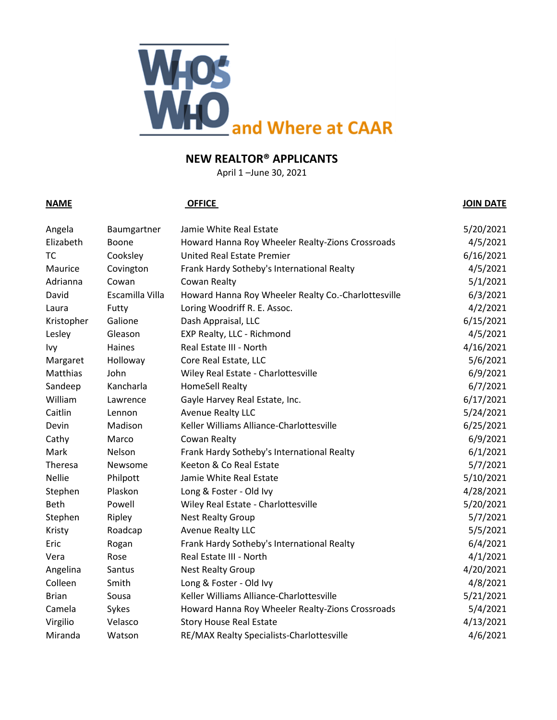

April 1 –June 30, 2021

### **NAME OFFICE JOIN DATE**

| Angela        | Baumgartner     | Jamie White Real Estate                             | 5/20/2021 |
|---------------|-----------------|-----------------------------------------------------|-----------|
| Elizabeth     | Boone           | Howard Hanna Roy Wheeler Realty-Zions Crossroads    | 4/5/2021  |
| <b>TC</b>     | Cooksley        | United Real Estate Premier                          | 6/16/2021 |
| Maurice       | Covington       | Frank Hardy Sotheby's International Realty          | 4/5/2021  |
| Adrianna      | Cowan           | Cowan Realty                                        | 5/1/2021  |
| David         | Escamilla Villa | Howard Hanna Roy Wheeler Realty Co.-Charlottesville | 6/3/2021  |
| Laura         | Futty           | Loring Woodriff R. E. Assoc.                        | 4/2/2021  |
| Kristopher    | Galione         | Dash Appraisal, LLC                                 | 6/15/2021 |
| Lesley        | Gleason         | EXP Realty, LLC - Richmond                          | 4/5/2021  |
| Ivy           | Haines          | Real Estate III - North                             | 4/16/2021 |
| Margaret      | Holloway        | Core Real Estate, LLC                               | 5/6/2021  |
| Matthias      | John            | Wiley Real Estate - Charlottesville                 | 6/9/2021  |
| Sandeep       | Kancharla       | <b>HomeSell Realty</b>                              | 6/7/2021  |
| William       | Lawrence        | Gayle Harvey Real Estate, Inc.                      | 6/17/2021 |
| Caitlin       | Lennon          | <b>Avenue Realty LLC</b>                            | 5/24/2021 |
| Devin         | Madison         | Keller Williams Alliance-Charlottesville            | 6/25/2021 |
| Cathy         | Marco           | Cowan Realty                                        | 6/9/2021  |
| Mark          | Nelson          | Frank Hardy Sotheby's International Realty          | 6/1/2021  |
| Theresa       | Newsome         | Keeton & Co Real Estate                             | 5/7/2021  |
| <b>Nellie</b> | Philpott        | Jamie White Real Estate                             | 5/10/2021 |
| Stephen       | Plaskon         | Long & Foster - Old Ivy                             | 4/28/2021 |
| Beth          | Powell          | Wiley Real Estate - Charlottesville                 | 5/20/2021 |
| Stephen       | Ripley          | <b>Nest Realty Group</b>                            | 5/7/2021  |
| Kristy        | Roadcap         | <b>Avenue Realty LLC</b>                            | 5/5/2021  |
| Eric          | Rogan           | Frank Hardy Sotheby's International Realty          | 6/4/2021  |
| Vera          | Rose            | Real Estate III - North                             | 4/1/2021  |
| Angelina      | Santus          | <b>Nest Realty Group</b>                            | 4/20/2021 |
| Colleen       | Smith           | Long & Foster - Old Ivy                             | 4/8/2021  |
| <b>Brian</b>  | Sousa           | Keller Williams Alliance-Charlottesville            | 5/21/2021 |
| Camela        | Sykes           | Howard Hanna Roy Wheeler Realty-Zions Crossroads    | 5/4/2021  |
| Virgilio      | Velasco         | <b>Story House Real Estate</b>                      | 4/13/2021 |
| Miranda       | Watson          | RE/MAX Realty Specialists-Charlottesville           | 4/6/2021  |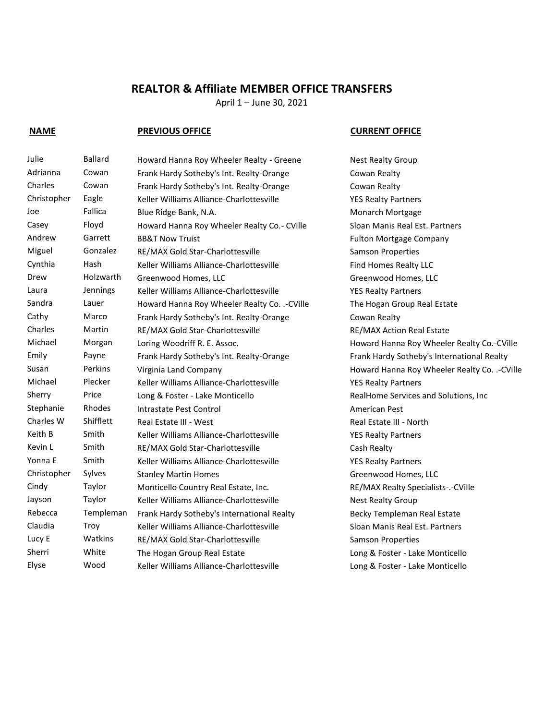## **REALTOR & Affiliate MEMBER OFFICE TRANSFERS**

April 1 – June 30, 2021

### **NAME PREVIOUS OFFICE CURRENT OFFICE**

Sherri White The Hogan Group Real Estate Long & Foster - Lake Monticello

Julie Ballard Howard Hanna Roy Wheeler Realty - Greene Nest Realty Group Adrianna Cowan Frank Hardy Sotheby's Int. Realty-Orange Cowan Realty Charles Cowan Frank Hardy Sotheby's Int. Realty-Orange Cowan Realty Christopher Eagle Keller Williams Alliance-Charlottesville YES Realty Partners Joe Fallica Blue Ridge Bank, N.A. Monarch Mortgage Casey Floyd Howard Hanna Roy Wheeler Realty Co.- CVille Sloan Manis Real Est. Partners Andrew Garrett BB&T Now Truist Gaster Andrew Fulton Mortgage Company Miguel Gonzalez RE/MAX Gold Star-Charlottesville Samson Properties Cynthia Hash Keller Williams Alliance-Charlottesville Find Homes Realty LLC Drew Holzwarth Greenwood Homes, LLC Creenwood Homes, LLC Laura Jennings Keller Williams Alliance-Charlottesville VES Realty Partners Sandra Lauer Howard Hanna Roy Wheeler Realty Co. .-CVille The Hogan Group Real Estate Cathy Marco Frank Hardy Sotheby's Int. Realty-Orange Cowan Realty Charles Martin RE/MAX Gold Star-Charlottesville RE/MAX Action Real Estate Michael Morgan Loring Woodriff R. E. Assoc. The Morgan Howard Hanna Roy Wheeler Realty Co.-CVille Emily Payne Frank Hardy Sotheby's Int. Realty-Orange Frank Hardy Sotheby's International Realty Susan Perkins Virginia Land Company **Fig. 2018** Howard Hanna Roy Wheeler Realty Co. .-CVille Michael Plecker Keller Williams Alliance-Charlottesville YES Realty Partners Sherry Price Long & Foster - Lake Monticello RealHome Services and Solutions, Inc Stephanie Rhodes Intrastate Pest Control **American Pest** American Pest Charles W Shifflett Real Estate III - West Real Estate III - North Keith B Smith Keller Williams Alliance-Charlottesville VES Realty Partners Kevin L Smith RE/MAX Gold Star-Charlottesville Cash Realty Yonna E Smith Keller Williams Alliance-Charlottesville YES Realty Partners Christopher Sylves Stanley Martin Homes Stanley Greenwood Homes, LLC Cindy Taylor Monticello Country Real Estate, Inc. RE/MAX Realty Specialists-.-CVille Jayson Taylor Keller Williams Alliance-Charlottesville Nest Realty Group Rebecca Templeman Frank Hardy Sotheby's International Realty Becky Templeman Real Estate Claudia Troy Keller Williams Alliance-Charlottesville Sloan Manis Real Est. Partners Lucy E Watkins RE/MAX Gold Star-Charlottesville Samson Properties

Elyse Wood Keller Williams Alliance-Charlottesville Long & Foster - Lake Monticello